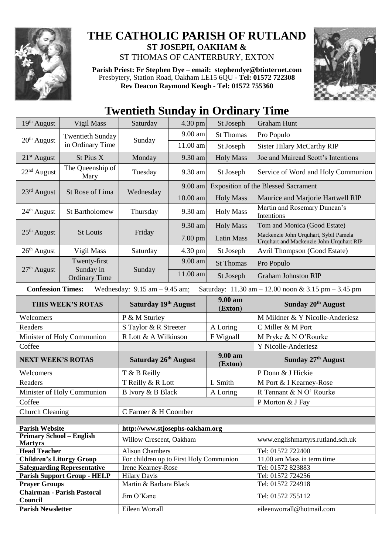

## **THE CATHOLIC PARISH OF RUTLAND ST JOSEPH, OAKHAM &**

ST THOMAS OF CANTERBURY, EXTON

**Parish Priest: Fr Stephen Dye** – **[email: stephendye@btinternet.com](mailto:email:%20%20stephendye@btinternet.com)** Presbytery, Station Road, Oakham LE15 6QU - **Tel: 01572 722308 Rev Deacon Raymond Keogh - Tel: 01572 755360**



## **Twentieth Sunday in Ordinary Time**

| 19th August                                                                                                                                             | Vigil Mass                                        | Saturday                                | 4.30 pm   | St Joseph             | <b>Graham Hunt</b>                                                                |  |  |
|---------------------------------------------------------------------------------------------------------------------------------------------------------|---------------------------------------------------|-----------------------------------------|-----------|-----------------------|-----------------------------------------------------------------------------------|--|--|
| 20 <sup>th</sup> August                                                                                                                                 | <b>Twentieth Sunday</b><br>in Ordinary Time       | Sunday                                  | 9.00 am   | <b>St Thomas</b>      | Pro Populo                                                                        |  |  |
|                                                                                                                                                         |                                                   |                                         | 11.00 am  | St Joseph             | <b>Sister Hilary McCarthy RIP</b>                                                 |  |  |
| $21st$ August                                                                                                                                           | St Pius X                                         | Monday                                  | 9.30 am   | <b>Holy Mass</b>      | Joe and Mairead Scott's Intentions                                                |  |  |
| 22 <sup>nd</sup> August                                                                                                                                 | The Queenship of<br>Mary                          | Tuesday                                 | 9.30 am   | St Joseph             | Service of Word and Holy Communion                                                |  |  |
| 23rd August                                                                                                                                             | St Rose of Lima                                   | Wednesday                               | $9.00$ am |                       | <b>Exposition of the Blessed Sacrament</b>                                        |  |  |
|                                                                                                                                                         |                                                   |                                         | 10.00 am  | <b>Holy Mass</b>      | Maurice and Marjorie Hartwell RIP                                                 |  |  |
| 24 <sup>th</sup> August                                                                                                                                 | <b>St Bartholomew</b>                             | Thursday                                | 9.30 am   | <b>Holy Mass</b>      | Martin and Rosemary Duncan's<br>Intentions                                        |  |  |
|                                                                                                                                                         | <b>St Louis</b>                                   | Friday                                  | 9.30 am   | <b>Holy Mass</b>      | Tom and Monica (Good Estate)                                                      |  |  |
| $25th$ August                                                                                                                                           |                                                   |                                         | 7.00 pm   | <b>Latin Mass</b>     | Mackenzie John Urquhart, Sybil Pamela<br>Urquhart and Mackenzie John Urquhart RIP |  |  |
| $26th$ August                                                                                                                                           | Vigil Mass                                        | Saturday                                | 4.30 pm   | St Joseph             | Avril Thompson (Good Estate)                                                      |  |  |
|                                                                                                                                                         | Twenty-first<br>Sunday in<br><b>Ordinary Time</b> | Sunday                                  | 9.00 am   | <b>St Thomas</b>      | Pro Populo                                                                        |  |  |
| $27th$ August                                                                                                                                           |                                                   |                                         | 11.00 am  | St Joseph             | <b>Graham Johnston RIP</b>                                                        |  |  |
| <b>Confession Times:</b><br>Wednesday: $9.15$ am $- 9.45$ am;<br>Saturday: $11.30 \text{ am} - 12.00 \text{ noon} \& 3.15 \text{ pm} - 3.45 \text{ pm}$ |                                                   |                                         |           |                       |                                                                                   |  |  |
| THIS WEEK'S ROTAS                                                                                                                                       |                                                   | Saturday 19th August                    |           | $9.00 a$ m<br>(Exton) | Sunday 20 <sup>th</sup> August                                                    |  |  |
| Welcomers                                                                                                                                               |                                                   | P & M Sturley                           |           |                       | M Mildner & Y Nicolle-Anderiesz                                                   |  |  |
| Readers                                                                                                                                                 |                                                   | S Taylor & R Streeter                   |           | A Loring              | C Miller & M Port                                                                 |  |  |
| Minister of Holy Communion                                                                                                                              |                                                   | R Lott & A Wilkinson                    |           | F Wignall             | M Pryke & N O'Rourke                                                              |  |  |
| Coffee                                                                                                                                                  |                                                   |                                         |           |                       |                                                                                   |  |  |
|                                                                                                                                                         |                                                   |                                         |           |                       | Y Nicolle-Anderiesz                                                               |  |  |
| <b>NEXT WEEK'S ROTAS</b>                                                                                                                                |                                                   | Saturday 26th August                    |           | 9.00 am<br>(Exton)    | Sunday $27th$ August                                                              |  |  |
| Welcomers                                                                                                                                               |                                                   | T & B Reilly                            |           |                       | P Donn & J Hickie                                                                 |  |  |
| Readers                                                                                                                                                 |                                                   | T Reilly & R Lott                       |           | L Smith               | M Port & I Kearney-Rose                                                           |  |  |
|                                                                                                                                                         | Minister of Holy Communion                        | <b>B</b> Ivory & <b>B</b> Black         |           | A Loring              | R Tennant & N O' Rourke                                                           |  |  |
| Coffee                                                                                                                                                  |                                                   |                                         |           |                       | P Morton & J Fay                                                                  |  |  |
|                                                                                                                                                         |                                                   | C Farmer & H Coomber                    |           |                       |                                                                                   |  |  |
| <b>Church Cleaning</b>                                                                                                                                  |                                                   |                                         |           |                       |                                                                                   |  |  |
| <b>Parish Website</b>                                                                                                                                   |                                                   | http://www.stjosephs-oakham.org         |           |                       |                                                                                   |  |  |
| <b>Primary School - English</b><br><b>Martyrs</b>                                                                                                       |                                                   | Willow Crescent, Oakham                 |           |                       | www.englishmartyrs.rutland.sch.uk                                                 |  |  |
| <b>Head Teacher</b>                                                                                                                                     |                                                   | <b>Alison Chambers</b>                  |           |                       | Tel: 01572 722400                                                                 |  |  |
| <b>Children's Liturgy Group</b>                                                                                                                         |                                                   | For children up to First Holy Communion |           |                       | 11.00 am Mass in term time                                                        |  |  |
|                                                                                                                                                         | <b>Safeguarding Representative</b>                | Irene Kearney-Rose                      |           |                       | Tel: 01572 823883                                                                 |  |  |
|                                                                                                                                                         | <b>Parish Support Group - HELP</b>                | <b>Hilary Davis</b>                     |           |                       | Tel: 01572 724256                                                                 |  |  |
| <b>Prayer Groups</b>                                                                                                                                    |                                                   | Martin & Barbara Black                  |           |                       | Tel: 01572 724918                                                                 |  |  |
| Council<br><b>Parish Newsletter</b>                                                                                                                     | <b>Chairman - Parish Pastoral</b>                 | Jim O'Kane<br>Eileen Worrall            |           |                       | Tel: 01572 755112<br>eileenworrall@hotmail.com                                    |  |  |